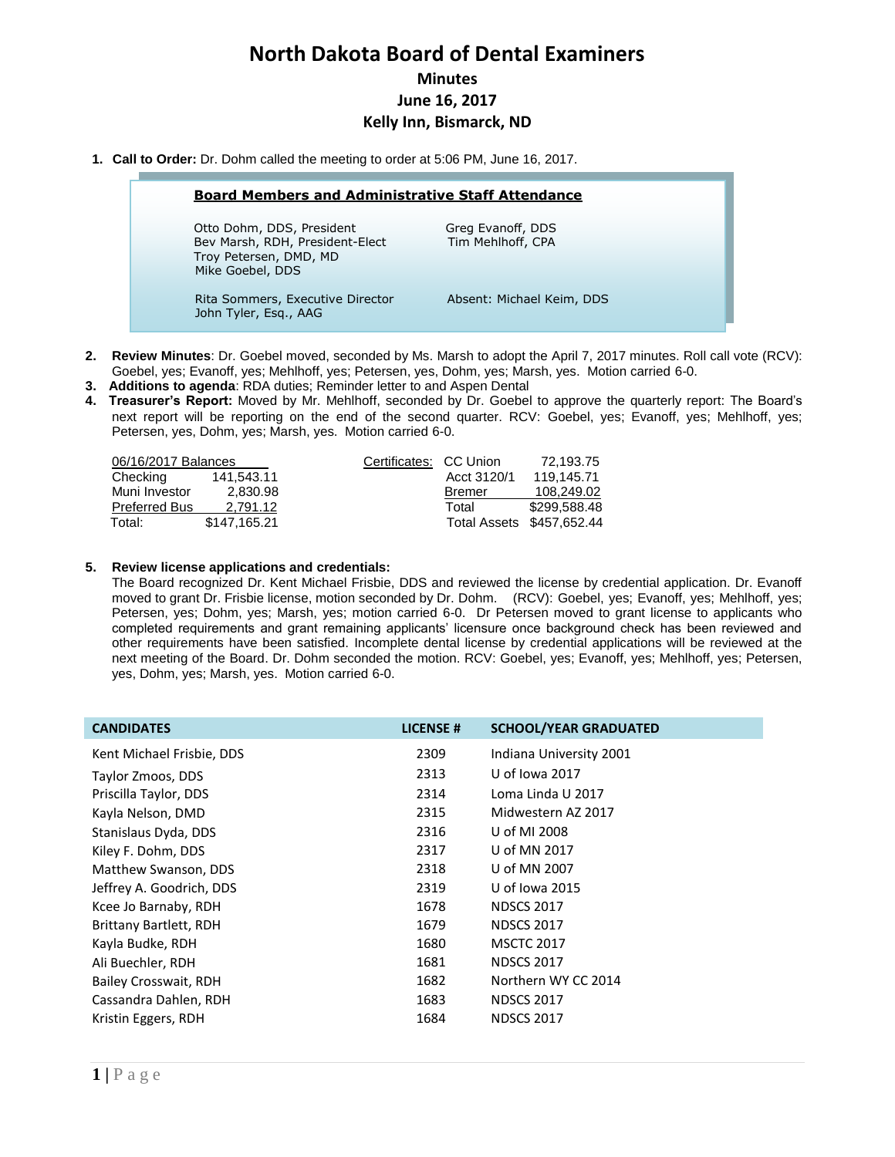# **North Dakota Board of Dental Examiners Minutes June 16, 2017 Kelly Inn, Bismarck, ND**

**1. Call to Order:** Dr. Dohm called the meeting to order at 5:06 PM, June 16, 2017.

| <b>Board Members and Administrative Staff Attendance</b>                                                   |                                        |  |  |  |
|------------------------------------------------------------------------------------------------------------|----------------------------------------|--|--|--|
| Otto Dohm, DDS, President<br>Bev Marsh, RDH, President-Elect<br>Troy Petersen, DMD, MD<br>Mike Goebel, DDS | Greg Evanoff, DDS<br>Tim Mehlhoff, CPA |  |  |  |
| Rita Sommers, Executive Director<br>John Tyler, Esq., AAG                                                  | Absent: Michael Keim, DDS              |  |  |  |

- **2. Review Minutes**: Dr. Goebel moved, seconded by Ms. Marsh to adopt the April 7, 2017 minutes. Roll call vote (RCV): Goebel, yes; Evanoff, yes; Mehlhoff, yes; Petersen, yes, Dohm, yes; Marsh, yes. Motion carried 6-0.
- **3. Additions to agenda**: RDA duties; Reminder letter to and Aspen Dental
- **4. Treasurer's Report:** Moved by Mr. Mehlhoff, seconded by Dr. Goebel to approve the quarterly report: The Board's next report will be reporting on the end of the second quarter. RCV: Goebel, yes; Evanoff, yes; Mehlhoff, yes; Petersen, yes, Dohm, yes; Marsh, yes. Motion carried 6-0.

| 06/16/2017 Balances              |             | 72.193.75                 |
|----------------------------------|-------------|---------------------------|
| 141,543.11                       | Acct 3120/1 | 119.145.71                |
| Muni Investor<br>2.830.98        | Bremer      | 108.249.02                |
| <b>Preferred Bus</b><br>2.791.12 | Total       | \$299.588.48              |
| \$147.165.21                     |             | Total Assets \$457,652.44 |
|                                  |             | Certificates: CC Union    |

# **5. Review license applications and credentials:**

l

The Board recognized Dr. Kent Michael Frisbie, DDS and reviewed the license by credential application. Dr. Evanoff moved to grant Dr. Frisbie license, motion seconded by Dr. Dohm. (RCV): Goebel, yes; Evanoff, yes; Mehlhoff, yes; Petersen, yes; Dohm, yes; Marsh, yes; motion carried 6-0. Dr Petersen moved to grant license to applicants who completed requirements and grant remaining applicants' licensure once background check has been reviewed and other requirements have been satisfied. Incomplete dental license by credential applications will be reviewed at the next meeting of the Board. Dr. Dohm seconded the motion. RCV: Goebel, yes; Evanoff, yes; Mehlhoff, yes; Petersen, yes, Dohm, yes; Marsh, yes. Motion carried 6-0.

| <b>CANDIDATES</b>             | <b>LICENSE#</b> | <b>SCHOOL/YEAR GRADUATED</b> |
|-------------------------------|-----------------|------------------------------|
| Kent Michael Frisbie, DDS     | 2309            | Indiana University 2001      |
| Taylor Zmoos, DDS             | 2313            | U of Iowa 2017               |
| Priscilla Taylor, DDS         | 2314            | Loma Linda U 2017            |
| Kayla Nelson, DMD             | 2315            | Midwestern AZ 2017           |
| Stanislaus Dyda, DDS          | 2316            | U of MI 2008                 |
| Kiley F. Dohm, DDS            | 2317            | U of MN 2017                 |
| Matthew Swanson, DDS          | 2318            | U of MN 2007                 |
| Jeffrey A. Goodrich, DDS      | 2319            | U of Jowa 2015               |
| Kcee Jo Barnaby, RDH          | 1678            | <b>NDSCS 2017</b>            |
| <b>Brittany Bartlett, RDH</b> | 1679            | <b>NDSCS 2017</b>            |
| Kayla Budke, RDH              | 1680            | <b>MSCTC 2017</b>            |
| Ali Buechler, RDH             | 1681            | <b>NDSCS 2017</b>            |
| Bailey Crosswait, RDH         | 1682            | Northern WY CC 2014          |
| Cassandra Dahlen, RDH         | 1683            | <b>NDSCS 2017</b>            |
| Kristin Eggers, RDH           | 1684            | <b>NDSCS 2017</b>            |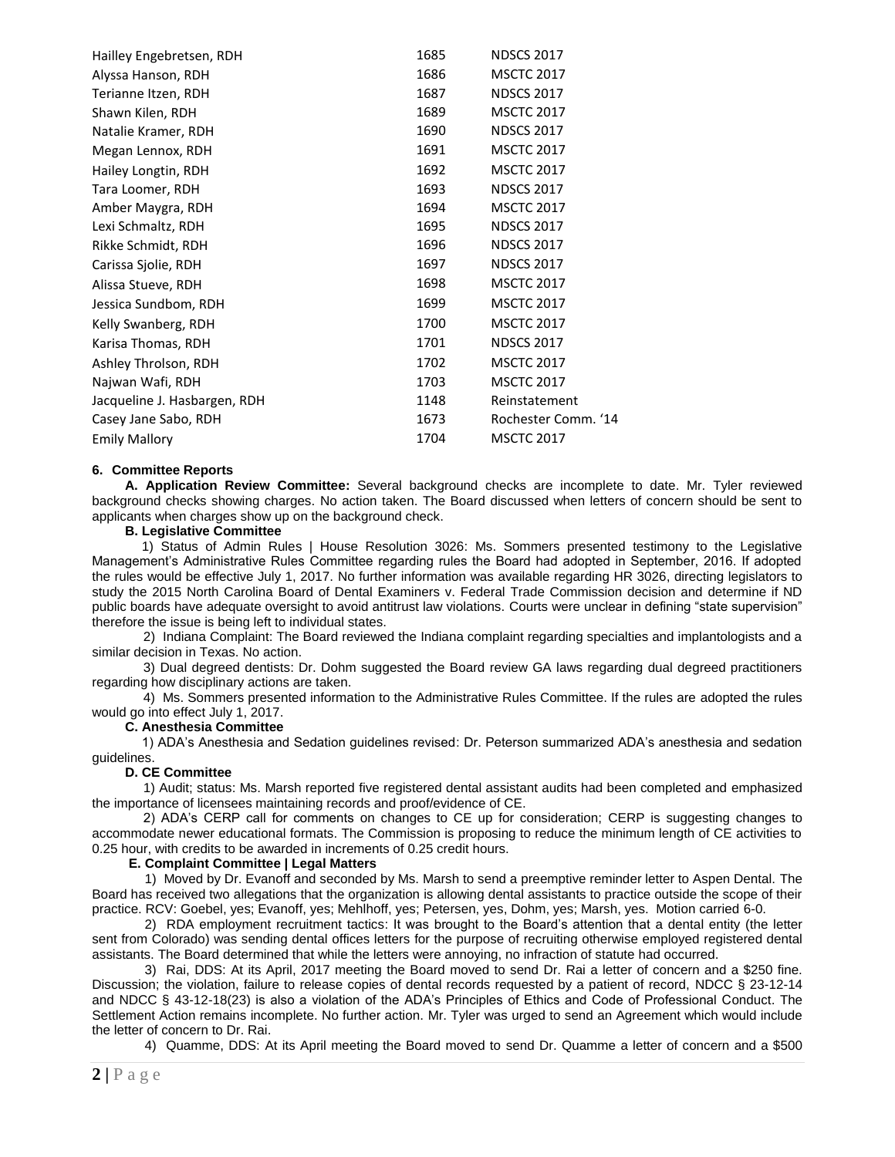| Hailley Engebretsen, RDH     | 1685 | <b>NDSCS 2017</b>   |
|------------------------------|------|---------------------|
| Alyssa Hanson, RDH           | 1686 | <b>MSCTC 2017</b>   |
| Terianne Itzen, RDH          | 1687 | <b>NDSCS 2017</b>   |
| Shawn Kilen, RDH             | 1689 | <b>MSCTC 2017</b>   |
| Natalie Kramer, RDH          | 1690 | <b>NDSCS 2017</b>   |
| Megan Lennox, RDH            | 1691 | <b>MSCTC 2017</b>   |
| Hailey Longtin, RDH          | 1692 | <b>MSCTC 2017</b>   |
| Tara Loomer, RDH             | 1693 | <b>NDSCS 2017</b>   |
| Amber Maygra, RDH            | 1694 | <b>MSCTC 2017</b>   |
| Lexi Schmaltz, RDH           | 1695 | <b>NDSCS 2017</b>   |
| Rikke Schmidt, RDH           | 1696 | <b>NDSCS 2017</b>   |
| Carissa Sjolie, RDH          | 1697 | <b>NDSCS 2017</b>   |
| Alissa Stueve, RDH           | 1698 | <b>MSCTC 2017</b>   |
| Jessica Sundbom, RDH         | 1699 | <b>MSCTC 2017</b>   |
| Kelly Swanberg, RDH          | 1700 | <b>MSCTC 2017</b>   |
| Karisa Thomas, RDH           | 1701 | <b>NDSCS 2017</b>   |
| Ashley Throlson, RDH         | 1702 | <b>MSCTC 2017</b>   |
| Najwan Wafi, RDH             | 1703 | <b>MSCTC 2017</b>   |
| Jacqueline J. Hasbargen, RDH | 1148 | Reinstatement       |
| Casey Jane Sabo, RDH         | 1673 | Rochester Comm. '14 |
| <b>Emily Mallory</b>         | 1704 | <b>MSCTC 2017</b>   |
|                              |      |                     |

#### **6. Committee Reports**

**A. Application Review Committee:** Several background checks are incomplete to date. Mr. Tyler reviewed background checks showing charges. No action taken. The Board discussed when letters of concern should be sent to applicants when charges show up on the background check.

#### **B. Legislative Committee**

1) Status of Admin Rules | House Resolution 3026: Ms. Sommers presented testimony to the Legislative Management's Administrative Rules Committee regarding rules the Board had adopted in September, 2016. If adopted the rules would be effective July 1, 2017. No further information was available regarding HR 3026, directing legislators to study the 2015 North Carolina Board of Dental Examiners v. Federal Trade Commission decision and determine if ND public boards have adequate oversight to avoid antitrust law violations. Courts were unclear in defining "state supervision" therefore the issue is being left to individual states.

 2) Indiana Complaint: The Board reviewed the Indiana complaint regarding specialties and implantologists and a similar decision in Texas. No action.

 3) Dual degreed dentists: Dr. Dohm suggested the Board review GA laws regarding dual degreed practitioners regarding how disciplinary actions are taken.

 4) Ms. Sommers presented information to the Administrative Rules Committee. If the rules are adopted the rules would go into effect July 1, 2017.

## **C. Anesthesia Committee**

 1) ADA's Anesthesia and Sedation guidelines revised: Dr. Peterson summarized ADA's anesthesia and sedation guidelines.

#### **D. CE Committee**

 1) Audit; status: Ms. Marsh reported five registered dental assistant audits had been completed and emphasized the importance of licensees maintaining records and proof/evidence of CE.

 2) ADA's CERP call for comments on changes to CE up for consideration; CERP is suggesting changes to accommodate newer educational formats. The Commission is proposing to reduce the minimum length of CE activities to 0.25 hour, with credits to be awarded in increments of 0.25 credit hours.

#### **E. Complaint Committee | Legal Matters**

1) Moved by Dr. Evanoff and seconded by Ms. Marsh to send a preemptive reminder letter to Aspen Dental. The Board has received two allegations that the organization is allowing dental assistants to practice outside the scope of their practice. RCV: Goebel, yes; Evanoff, yes; Mehlhoff, yes; Petersen, yes, Dohm, yes; Marsh, yes. Motion carried 6-0.

2) RDA employment recruitment tactics: It was brought to the Board's attention that a dental entity (the letter sent from Colorado) was sending dental offices letters for the purpose of recruiting otherwise employed registered dental assistants. The Board determined that while the letters were annoying, no infraction of statute had occurred.

3) Rai, DDS: At its April, 2017 meeting the Board moved to send Dr. Rai a letter of concern and a \$250 fine. Discussion; the violation, failure to release copies of dental records requested by a patient of record, NDCC § 23-12-14 and NDCC § 43-12-18(23) is also a violation of the ADA's Principles of Ethics and Code of Professional Conduct. The Settlement Action remains incomplete. No further action. Mr. Tyler was urged to send an Agreement which would include the letter of concern to Dr. Rai.

4) Quamme, DDS: At its April meeting the Board moved to send Dr. Quamme a letter of concern and a \$500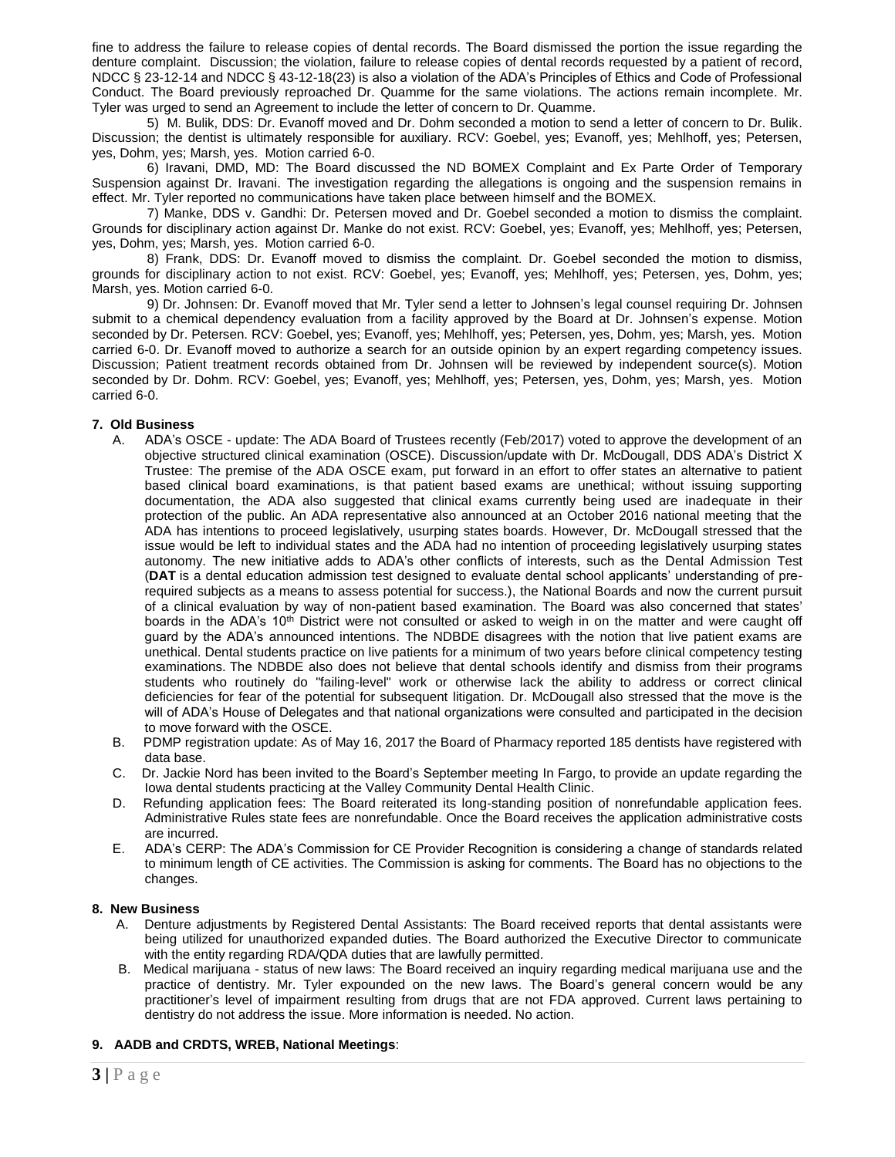fine to address the failure to release copies of dental records. The Board dismissed the portion the issue regarding the denture complaint. Discussion; the violation, failure to release copies of dental records requested by a patient of record, NDCC § 23-12-14 and NDCC § 43-12-18(23) is also a violation of the ADA's Principles of Ethics and Code of Professional Conduct. The Board previously reproached Dr. Quamme for the same violations. The actions remain incomplete. Mr. Tyler was urged to send an Agreement to include the letter of concern to Dr. Quamme.

 5) M. Bulik, DDS: Dr. Evanoff moved and Dr. Dohm seconded a motion to send a letter of concern to Dr. Bulik. Discussion; the dentist is ultimately responsible for auxiliary. RCV: Goebel, yes; Evanoff, yes; Mehlhoff, yes; Petersen, yes, Dohm, yes; Marsh, yes. Motion carried 6-0.

 6) Iravani, DMD, MD: The Board discussed the ND BOMEX Complaint and Ex Parte Order of Temporary Suspension against Dr. Iravani. The investigation regarding the allegations is ongoing and the suspension remains in effect. Mr. Tyler reported no communications have taken place between himself and the BOMEX.

 7) Manke, DDS v. Gandhi: Dr. Petersen moved and Dr. Goebel seconded a motion to dismiss the complaint. Grounds for disciplinary action against Dr. Manke do not exist. RCV: Goebel, yes; Evanoff, yes; Mehlhoff, yes; Petersen, yes, Dohm, yes; Marsh, yes. Motion carried 6-0.

 8) Frank, DDS: Dr. Evanoff moved to dismiss the complaint. Dr. Goebel seconded the motion to dismiss, grounds for disciplinary action to not exist. RCV: Goebel, yes; Evanoff, yes; Mehlhoff, yes; Petersen, yes, Dohm, yes; Marsh, yes. Motion carried 6-0.

 9) Dr. Johnsen: Dr. Evanoff moved that Mr. Tyler send a letter to Johnsen's legal counsel requiring Dr. Johnsen submit to a chemical dependency evaluation from a facility approved by the Board at Dr. Johnsen's expense. Motion seconded by Dr. Petersen. RCV: Goebel, yes; Evanoff, yes; Mehlhoff, yes; Petersen, yes, Dohm, yes; Marsh, yes. Motion carried 6-0. Dr. Evanoff moved to authorize a search for an outside opinion by an expert regarding competency issues. Discussion; Patient treatment records obtained from Dr. Johnsen will be reviewed by independent source(s). Motion seconded by Dr. Dohm. RCV: Goebel, yes; Evanoff, yes; Mehlhoff, yes; Petersen, yes, Dohm, yes; Marsh, yes. Motion carried 6-0.

# **7. Old Business**

- A. ADA's OSCE update: The ADA Board of Trustees recently (Feb/2017) voted to approve the development of an objective structured clinical examination (OSCE). Discussion/update with Dr. McDougall, DDS ADA's District X Trustee: The premise of the ADA OSCE exam, put forward in an effort to offer states an alternative to patient based clinical board examinations, is that patient based exams are unethical; without issuing supporting documentation, the ADA also suggested that clinical exams currently being used are inadequate in their protection of the public. An ADA representative also announced at an October 2016 national meeting that the ADA has intentions to proceed legislatively, usurping states boards. However, Dr. McDougall stressed that the issue would be left to individual states and the ADA had no intention of proceeding legislatively usurping states autonomy. The new initiative adds to ADA's other conflicts of interests, such as the Dental Admission Test (**DAT** is a dental education admission test designed to evaluate dental school applicants' understanding of prerequired subjects as a means to assess potential for success.), the National Boards and now the current pursuit of a clinical evaluation by way of non-patient based examination. The Board was also concerned that states' boards in the ADA's 10<sup>th</sup> District were not consulted or asked to weigh in on the matter and were caught off guard by the ADA's announced intentions. The NDBDE disagrees with the notion that live patient exams are unethical. Dental students practice on live patients for a minimum of two years before clinical competency testing examinations. The NDBDE also does not believe that dental schools identify and dismiss from their programs students who routinely do "failing-level" work or otherwise lack the ability to address or correct clinical deficiencies for fear of the potential for subsequent litigation. Dr. McDougall also stressed that the move is the will of ADA's House of Delegates and that national organizations were consulted and participated in the decision to move forward with the OSCE.
- B. PDMP registration update: As of May 16, 2017 the Board of Pharmacy reported 185 dentists have registered with data base.
- C. Dr. Jackie Nord has been invited to the Board's September meeting In Fargo, to provide an update regarding the Iowa dental students practicing at the Valley Community Dental Health Clinic.
- D. Refunding application fees: The Board reiterated its long-standing position of nonrefundable application fees. Administrative Rules state fees are nonrefundable. Once the Board receives the application administrative costs are incurred.
- E. ADA's CERP: The ADA's Commission for CE Provider Recognition is considering a change of standards related to minimum length of CE activities. The Commission is asking for comments. The Board has no objections to the changes.

## **8. New Business**

- A. Denture adjustments by Registered Dental Assistants: The Board received reports that dental assistants were being utilized for unauthorized expanded duties. The Board authorized the Executive Director to communicate with the entity regarding RDA/QDA duties that are lawfully permitted.
- B. Medical marijuana status of new laws: The Board received an inquiry regarding medical marijuana use and the practice of dentistry. Mr. Tyler expounded on the new laws. The Board's general concern would be any practitioner's level of impairment resulting from drugs that are not FDA approved. Current laws pertaining to dentistry do not address the issue. More information is needed. No action.

# **9. AADB and CRDTS, WREB, National Meetings**: